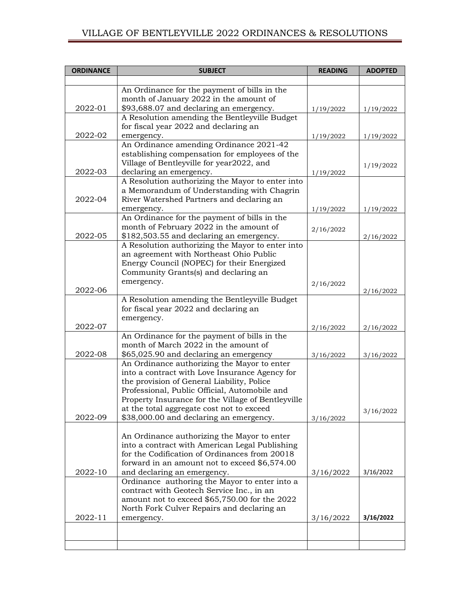## VILLAGE OF BENTLEYVILLE 2022 ORDINANCES & RESOLUTIONS

| <b>ORDINANCE</b> | <b>SUBJECT</b>                                                                                | <b>READING</b> | <b>ADOPTED</b> |
|------------------|-----------------------------------------------------------------------------------------------|----------------|----------------|
|                  |                                                                                               |                |                |
|                  | An Ordinance for the payment of bills in the<br>month of January 2022 in the amount of        |                |                |
| 2022-01          | \$93,688.07 and declaring an emergency.                                                       | 1/19/2022      | 1/19/2022      |
|                  | A Resolution amending the Bentleyville Budget                                                 |                |                |
|                  | for fiscal year 2022 and declaring an                                                         |                |                |
| 2022-02          | emergency.                                                                                    | 1/19/2022      | 1/19/2022      |
|                  | An Ordinance amending Ordinance 2021-42                                                       |                |                |
|                  | establishing compensation for employees of the<br>Village of Bentleyville for year2022, and   |                |                |
| 2022-03          | declaring an emergency.                                                                       | 1/19/2022      | 1/19/2022      |
|                  | A Resolution authorizing the Mayor to enter into                                              |                |                |
|                  | a Memorandum of Understanding with Chagrin                                                    |                |                |
| 2022-04          | River Watershed Partners and declaring an                                                     |                |                |
|                  | emergency.                                                                                    | 1/19/2022      | 1/19/2022      |
|                  | An Ordinance for the payment of bills in the                                                  |                |                |
| 2022-05          | month of February 2022 in the amount of                                                       | 2/16/2022      |                |
|                  | \$182,503.55 and declaring an emergency.<br>A Resolution authorizing the Mayor to enter into  |                | 2/16/2022      |
|                  | an agreement with Northeast Ohio Public                                                       |                |                |
|                  | Energy Council (NOPEC) for their Energized                                                    |                |                |
|                  | Community Grants(s) and declaring an                                                          |                |                |
|                  | emergency.                                                                                    | 2/16/2022      |                |
| 2022-06          |                                                                                               |                | 2/16/2022      |
|                  | A Resolution amending the Bentleyville Budget                                                 |                |                |
|                  | for fiscal year 2022 and declaring an<br>emergency.                                           |                |                |
| 2022-07          |                                                                                               | 2/16/2022      | 2/16/2022      |
|                  | An Ordinance for the payment of bills in the                                                  |                |                |
|                  | month of March 2022 in the amount of                                                          |                |                |
| 2022-08          | \$65,025.90 and declaring an emergency                                                        | 3/16/2022      | 3/16/2022      |
|                  | An Ordinance authorizing the Mayor to enter                                                   |                |                |
|                  | into a contract with Love Insurance Agency for<br>the provision of General Liability, Police  |                |                |
|                  | Professional, Public Official, Automobile and                                                 |                |                |
|                  | Property Insurance for the Village of Bentleyville                                            |                |                |
|                  | at the total aggregate cost not to exceed                                                     |                | 3/16/2022      |
| 2022-09          | \$38,000.00 and declaring an emergency.                                                       | 3/16/2022      |                |
|                  |                                                                                               |                |                |
|                  | An Ordinance authorizing the Mayor to enter<br>into a contract with American Legal Publishing |                |                |
|                  | for the Codification of Ordinances from 20018                                                 |                |                |
|                  | forward in an amount not to exceed \$6,574.00                                                 |                |                |
| 2022-10          | and declaring an emergency.                                                                   | 3/16/2022      | 3/16/2022      |
|                  | Ordinance authoring the Mayor to enter into a                                                 |                |                |
|                  | contract with Geotech Service Inc., in an                                                     |                |                |
|                  | amount not to exceed \$65,750.00 for the 2022                                                 |                |                |
| 2022-11          | North Fork Culver Repairs and declaring an<br>emergency.                                      | 3/16/2022      | 3/16/2022      |
|                  |                                                                                               |                |                |
|                  |                                                                                               |                |                |
|                  |                                                                                               |                |                |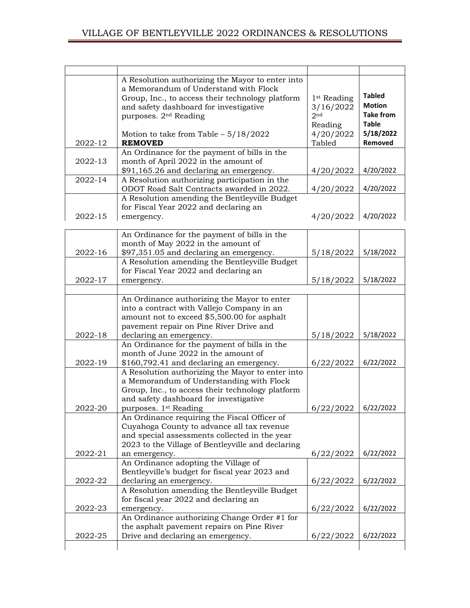|         | A Resolution authorizing the Mayor to enter into  |                         |                  |
|---------|---------------------------------------------------|-------------------------|------------------|
|         | a Memorandum of Understand with Flock             |                         |                  |
|         | Group, Inc., to access their technology platform  | 1 <sup>st</sup> Reading | <b>Tabled</b>    |
|         | and safety dashboard for investigative            | 3/16/2022               | <b>Motion</b>    |
|         | purposes. 2 <sup>nd</sup> Reading                 | 2 <sub>nd</sub>         | <b>Take from</b> |
|         |                                                   | Reading                 | <b>Table</b>     |
|         | Motion to take from Table $-5/18/2022$            | 4/20/2022               | 5/18/2022        |
| 2022-12 | <b>REMOVED</b>                                    | Tabled                  | Removed          |
|         | An Ordinance for the payment of bills in the      |                         |                  |
| 2022-13 | month of April 2022 in the amount of              |                         |                  |
|         | \$91,165.26 and declaring an emergency.           | 4/20/2022               | 4/20/2022        |
| 2022-14 | A Resolution authorizing participation in the     |                         |                  |
|         | ODOT Road Salt Contracts awarded in 2022.         | 4/20/2022               | 4/20/2022        |
|         | A Resolution amending the Bentleyville Budget     |                         |                  |
|         | for Fiscal Year 2022 and declaring an             |                         |                  |
| 2022-15 | emergency.                                        | 4/20/2022               | 4/20/2022        |
|         |                                                   |                         |                  |
|         | An Ordinance for the payment of bills in the      |                         |                  |
|         | month of May 2022 in the amount of                |                         |                  |
| 2022-16 | \$97,351.05 and declaring an emergency.           | 5/18/2022               | 5/18/2022        |
|         | A Resolution amending the Bentleyville Budget     |                         |                  |
|         | for Fiscal Year 2022 and declaring an             |                         |                  |
| 2022-17 | emergency.                                        | 5/18/2022               | 5/18/2022        |
|         |                                                   |                         |                  |
|         | An Ordinance authorizing the Mayor to enter       |                         |                  |
|         | into a contract with Vallejo Company in an        |                         |                  |
|         | amount not to exceed \$5,500.00 for asphalt       |                         |                  |
|         | pavement repair on Pine River Drive and           |                         |                  |
| 2022-18 | declaring an emergency.                           | 5/18/2022               | 5/18/2022        |
|         | An Ordinance for the payment of bills in the      |                         |                  |
|         | month of June 2022 in the amount of               |                         |                  |
| 2022-19 | \$160,792.41 and declaring an emergency.          | 6/22/2022               | 6/22/2022        |
|         | A Resolution authorizing the Mayor to enter into  |                         |                  |
|         | a Memorandum of Understanding with Flock          |                         |                  |
|         | Group, Inc., to access their technology platform  |                         |                  |
|         | and safety dashboard for investigative            |                         |                  |
| 2022-20 | purposes. 1 <sup>st</sup> Reading                 | 6/22/2022               | 6/22/2022        |
|         | An Ordinance requiring the Fiscal Officer of      |                         |                  |
|         | Cuyahoga County to advance all tax revenue        |                         |                  |
|         | and special assessments collected in the year     |                         |                  |
|         | 2023 to the Village of Bentleyville and declaring |                         |                  |
| 2022-21 | an emergency.                                     | 6/22/2022               | 6/22/2022        |
|         | An Ordinance adopting the Village of              |                         |                  |
|         | Bentleyville's budget for fiscal year 2023 and    |                         |                  |
| 2022-22 | declaring an emergency.                           | 6/22/2022               | 6/22/2022        |
|         | A Resolution amending the Bentleyville Budget     |                         |                  |
|         | for fiscal year 2022 and declaring an             |                         |                  |
| 2022-23 | emergency.                                        | 6/22/2022               | 6/22/2022        |
|         | An Ordinance authorizing Change Order #1 for      |                         |                  |
|         | the asphalt pavement repairs on Pine River        |                         |                  |
| 2022-25 | Drive and declaring an emergency.                 | 6/22/2022               | 6/22/2022        |
|         |                                                   |                         |                  |